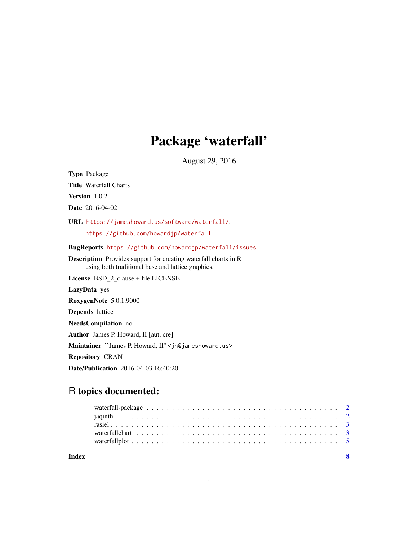## Package 'waterfall'

August 29, 2016

<span id="page-0-0"></span>Type Package

Title Waterfall Charts

Version 1.0.2

Date 2016-04-02

URL <https://jameshoward.us/software/waterfall/>, <https://github.com/howardjp/waterfall>

BugReports <https://github.com/howardjp/waterfall/issues>

Description Provides support for creating waterfall charts in R using both traditional base and lattice graphics.

License BSD\_2\_clause + file LICENSE

LazyData yes

RoxygenNote 5.0.1.9000

Depends lattice

NeedsCompilation no

Author James P. Howard, II [aut, cre]

Maintainer ``James P. Howard, II'' <jh@jameshoward.us>

Repository CRAN

Date/Publication 2016-04-03 16:40:20

### R topics documented:

| Index |  |  |  |  |  |  |  |  |  |  |  |  |  |  |  |  |  |
|-------|--|--|--|--|--|--|--|--|--|--|--|--|--|--|--|--|--|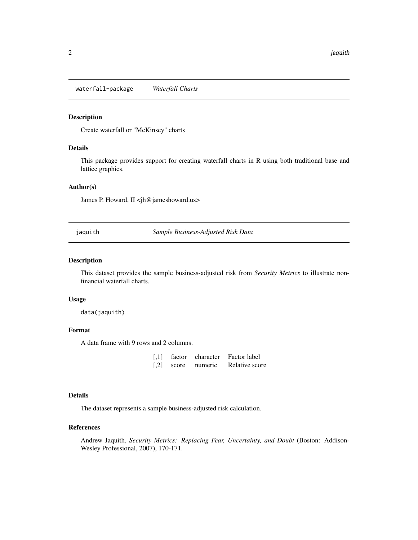<span id="page-1-0"></span>waterfall-package *Waterfall Charts*

#### Description

Create waterfall or "McKinsey" charts

#### Details

This package provides support for creating waterfall charts in R using both traditional base and lattice graphics.

#### Author(s)

James P. Howard, II <jh@jameshoward.us>

jaquith *Sample Business-Adjusted Risk Data*

#### Description

This dataset provides the sample business-adjusted risk from *Security Metrics* to illustrate nonfinancial waterfall charts.

#### Usage

data(jaquith)

#### Format

A data frame with 9 rows and 2 columns.

| $\lceil$ ,1]       | factor | character | Factor label   |
|--------------------|--------|-----------|----------------|
| $\lceil .2 \rceil$ | score  | numeric   | Relative score |

#### Details

The dataset represents a sample business-adjusted risk calculation.

#### References

Andrew Jaquith, *Security Metrics: Replacing Fear, Uncertainty, and Doubt* (Boston: Addison-Wesley Professional, 2007), 170-171.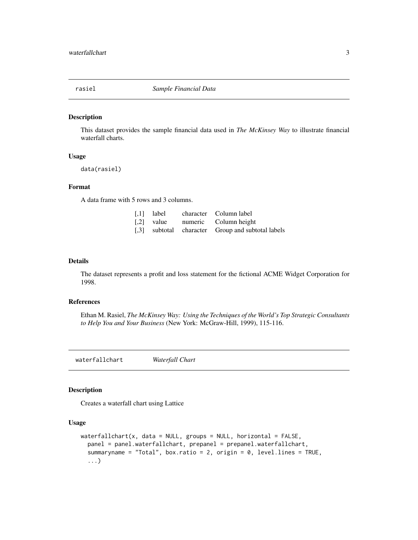<span id="page-2-0"></span>

#### Description

This dataset provides the sample financial data used in *The McKinsey Way* to illustrate financial waterfall charts.

#### Usage

data(rasiel)

#### Format

A data frame with 5 rows and 3 columns.

|  | [.1] label character Column label                 |
|--|---------------------------------------------------|
|  | [.2] value numeric Column height                  |
|  | [,3] subtotal character Group and subtotal labels |

#### Details

The dataset represents a profit and loss statement for the fictional ACME Widget Corporation for 1998.

#### References

Ethan M. Rasiel, *The McKinsey Way: Using the Techniques of the World's Top Strategic Consultants to Help You and Your Business* (New York: McGraw-Hill, 1999), 115-116.

waterfallchart *Waterfall Chart*

#### Description

Creates a waterfall chart using Lattice

#### Usage

```
waterfallchart(x, data = NULL, groups = NULL, horizontal = FALSE,
  panel = panel.waterfallchart, prepanel = prepanel.waterfallchart,
  summaryname = "Total", box.ratio = 2, origin = 0, level.lines = TRUE,
  ...)
```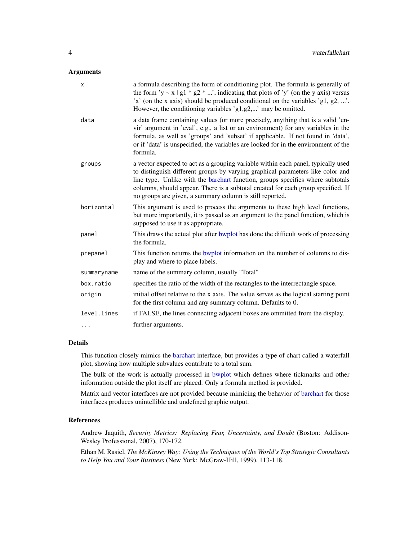#### <span id="page-3-0"></span>Arguments

| X           | a formula describing the form of conditioning plot. The formula is generally of<br>the form 'y ~ x   g1 * g2 * ', indicating that plots of 'y' (on the y axis) versus<br>'x' (on the x axis) should be produced conditional on the variables 'g1, g2, '.<br>However, the conditioning variables 'g1,g2,' may be omitted.                                                                              |
|-------------|-------------------------------------------------------------------------------------------------------------------------------------------------------------------------------------------------------------------------------------------------------------------------------------------------------------------------------------------------------------------------------------------------------|
| data        | a data frame containing values (or more precisely, anything that is a valid 'en-<br>vir' argument in 'eval', e.g., a list or an environment) for any variables in the<br>formula, as well as 'groups' and 'subset' if applicable. If not found in 'data',<br>or if 'data' is unspecified, the variables are looked for in the environment of the<br>formula.                                          |
| groups      | a vector expected to act as a grouping variable within each panel, typically used<br>to distinguish different groups by varying graphical parameters like color and<br>line type. Unlike with the barchart function, groups specifies where subtotals<br>columns, should appear. There is a subtotal created for each group specified. If<br>no groups are given, a summary column is still reported. |
| horizontal  | This argument is used to process the arguments to these high level functions,<br>but more importantly, it is passed as an argument to the panel function, which is<br>supposed to use it as appropriate.                                                                                                                                                                                              |
| panel       | This draws the actual plot after bwplot has done the difficult work of processing<br>the formula.                                                                                                                                                                                                                                                                                                     |
| prepanel    | This function returns the bwplot information on the number of columns to dis-<br>play and where to place labels.                                                                                                                                                                                                                                                                                      |
| summaryname | name of the summary column, usually "Total"                                                                                                                                                                                                                                                                                                                                                           |
| box.ratio   | specifies the ratio of the width of the rectangles to the interrectangle space.                                                                                                                                                                                                                                                                                                                       |
| origin      | initial offset relative to the x axis. The value serves as the logical starting point<br>for the first column and any summary column. Defaults to 0.                                                                                                                                                                                                                                                  |
| level.lines | if FALSE, the lines connecting adjacent boxes are ommitted from the display.                                                                                                                                                                                                                                                                                                                          |
| .           | further arguments.                                                                                                                                                                                                                                                                                                                                                                                    |

#### Details

This function closely mimics the [barchart](#page-0-0) interface, but provides a type of chart called a waterfall plot, showing how multiple subvalues contribute to a total sum.

The bulk of the work is actually processed in [bwplot](#page-0-0) which defines where tickmarks and other information outside the plot itself are placed. Only a formula method is provided.

Matrix and vector interfaces are not provided because mimicing the behavior of [barchart](#page-0-0) for those interfaces produces unintellible and undefined graphic output.

#### References

Andrew Jaquith, *Security Metrics: Replacing Fear, Uncertainty, and Doubt* (Boston: Addison-Wesley Professional, 2007), 170-172.

Ethan M. Rasiel, *The McKinsey Way: Using the Techniques of the World's Top Strategic Consultants to Help You and Your Business* (New York: McGraw-Hill, 1999), 113-118.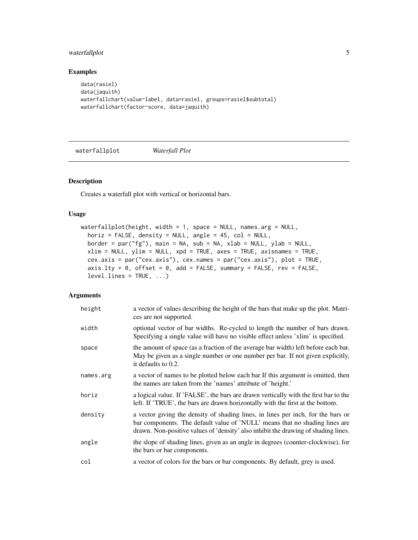#### <span id="page-4-0"></span>waterfallplot 5

#### Examples

```
data(rasiel)
data(jaquith)
waterfallchart(value~label, data=rasiel, groups=rasiel$subtotal)
waterfallchart(factor~score, data=jaquith)
```
waterfallplot *Waterfall Plot*

#### Description

Creates a waterfall plot with vertical or horizontal bars.

#### Usage

```
waterfallplot(height, width = 1, space = NULL, names.arg = NULL,
 horiz = FALSE, density = NULL, angle = 45, col = NULL,
 border = par("fg"), main = NA, sub = NA, xlab = NULL, ylab = NULL,
  xlim = NULL, ylim = NULL, xpd = TRUE, axes = TRUE, axisnames = TRUE,
 cex.axis = par("cex.axis"), cex.names = par("cex.axis"), plot = TRUE,
  axis.1ty = 0, offset = 0, add = FALSE, summary = FALSE, rev = FALSE,
  levelu ines = TRUE, \ldots)
```
#### Arguments

| height    | a vector of values describing the height of the bars that make up the plot. Matri-<br>ces are not supported.                                                                                                                                          |
|-----------|-------------------------------------------------------------------------------------------------------------------------------------------------------------------------------------------------------------------------------------------------------|
| width     | optional vector of bar widths. Re-cycled to length the number of bars drawn.<br>Specifying a single value will have no visible effect unless 'xlim' is specified.                                                                                     |
| space     | the amount of space (as a fraction of the average bar width) left before each bar.<br>May be given as a single number or one number per bar. If not given explicitly,<br>it defaults to 0.2.                                                          |
| names.arg | a vector of names to be plotted below each bar If this argument is omitted, then<br>the names are taken from the 'names' attribute of 'height.'                                                                                                       |
| horiz     | a logical value. If 'FALSE', the bars are drawn vertically with the first bar to the<br>left. If 'TRUE', the bars are drawn horizontally with the first at the bottom.                                                                                |
| density   | a vector giving the density of shading lines, in lines per inch, for the bars or<br>bar components. The default value of 'NULL' means that no shading lines are<br>drawn. Non-positive values of 'density' also inhibit the drawing of shading lines. |
| angle     | the slope of shading lines, given as an angle in degrees (counter-clockwise), for<br>the bars or bar components.                                                                                                                                      |
| col       | a vector of colors for the bars or bar components. By default, grey is used.                                                                                                                                                                          |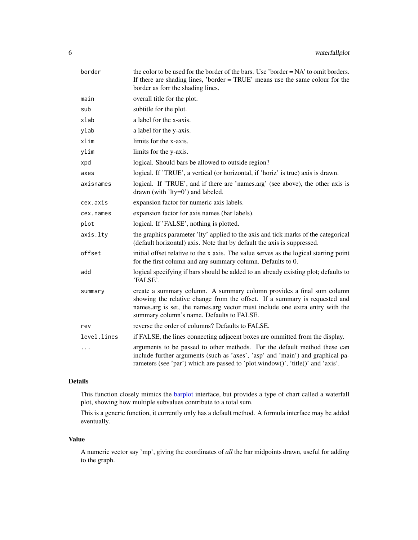<span id="page-5-0"></span>

| border      | the color to be used for the border of the bars. Use 'border = NA' to omit borders.<br>If there are shading lines, 'border = TRUE' means use the same colour for the<br>border as forr the shading lines.                                                                        |
|-------------|----------------------------------------------------------------------------------------------------------------------------------------------------------------------------------------------------------------------------------------------------------------------------------|
| main        | overall title for the plot.                                                                                                                                                                                                                                                      |
| sub         | subtitle for the plot.                                                                                                                                                                                                                                                           |
| xlab        | a label for the x-axis.                                                                                                                                                                                                                                                          |
| ylab        | a label for the y-axis.                                                                                                                                                                                                                                                          |
| xlim        | limits for the x-axis.                                                                                                                                                                                                                                                           |
| ylim        | limits for the y-axis.                                                                                                                                                                                                                                                           |
| xpd         | logical. Should bars be allowed to outside region?                                                                                                                                                                                                                               |
| axes        | logical. If 'TRUE', a vertical (or horizontal, if 'horiz' is true) axis is drawn.                                                                                                                                                                                                |
| axisnames   | logical. If 'TRUE', and if there are 'names.arg' (see above), the other axis is<br>drawn (with 'lty=0') and labeled.                                                                                                                                                             |
| cex.axis    | expansion factor for numeric axis labels.                                                                                                                                                                                                                                        |
| cex.names   | expansion factor for axis names (bar labels).                                                                                                                                                                                                                                    |
| plot        | logical. If 'FALSE', nothing is plotted.                                                                                                                                                                                                                                         |
| axis.lty    | the graphics parameter 'lty' applied to the axis and tick marks of the categorical<br>(default horizontal) axis. Note that by default the axis is suppressed.                                                                                                                    |
| offset      | initial offset relative to the x axis. The value serves as the logical starting point<br>for the first column and any summary column. Defaults to 0.                                                                                                                             |
| add         | logical specifying if bars should be added to an already existing plot; defaults to<br>'FALSE'.                                                                                                                                                                                  |
| summary     | create a summary column. A summary column provides a final sum column<br>showing the relative change from the offset. If a summary is requested and<br>names.arg is set, the names.arg vector must include one extra entry with the<br>summary column's name. Defaults to FALSE. |
| rev         | reverse the order of columns? Defaults to FALSE.                                                                                                                                                                                                                                 |
| level.lines | if FALSE, the lines connecting adjacent boxes are ommitted from the display.                                                                                                                                                                                                     |
| .           | arguments to be passed to other methods. For the default method these can<br>include further arguments (such as 'axes', 'asp' and 'main') and graphical pa-<br>rameters (see 'par') which are passed to 'plot.window()', 'title()' and 'axis'.                                   |

#### Details

This function closely mimics the [barplot](#page-0-0) interface, but provides a type of chart called a waterfall plot, showing how multiple subvalues contribute to a total sum.

This is a generic function, it currently only has a default method. A formula interface may be added eventually.

#### Value

A numeric vector say 'mp', giving the coordinates of *all* the bar midpoints drawn, useful for adding to the graph.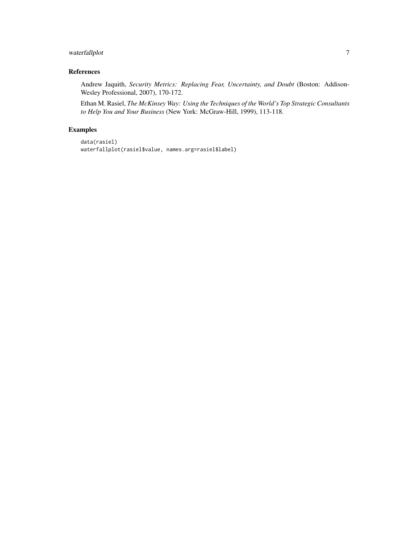#### waterfallplot 7

#### References

Andrew Jaquith, *Security Metrics: Replacing Fear, Uncertainty, and Doubt* (Boston: Addison-Wesley Professional, 2007), 170-172.

Ethan M. Rasiel, *The McKinsey Way: Using the Techniques of the World's Top Strategic Consultants to Help You and Your Business* (New York: McGraw-Hill, 1999), 113-118.

#### Examples

```
data(rasiel)
waterfallplot(rasiel$value, names.arg=rasiel$label)
```